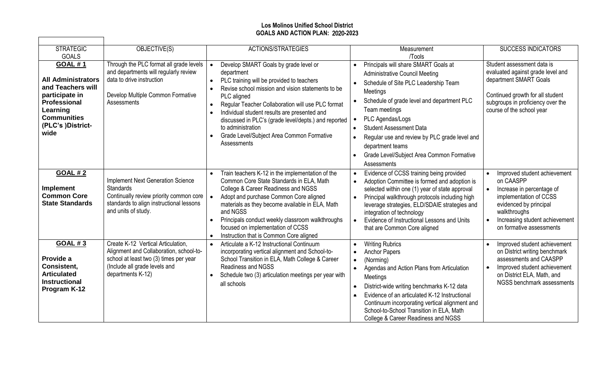## **Los Molinos Unified School District GOALS AND ACTION PLAN:** 2020**-202**3

┑

| <b>STRATEGIC</b><br><b>GOALS</b>                                                                                                                                         | OBJECTIVE(S)                                                                                                                                                                  | ACTIONS/STRATEGIES                                                                                                                                                                                                                                                                                                                                                                                                 | Measurement<br>/Tools                                                                                                                                                                                                                                                                                                                                                                   | <b>SUCCESS INDICATORS</b>                                                                                                                                                                                                          |
|--------------------------------------------------------------------------------------------------------------------------------------------------------------------------|-------------------------------------------------------------------------------------------------------------------------------------------------------------------------------|--------------------------------------------------------------------------------------------------------------------------------------------------------------------------------------------------------------------------------------------------------------------------------------------------------------------------------------------------------------------------------------------------------------------|-----------------------------------------------------------------------------------------------------------------------------------------------------------------------------------------------------------------------------------------------------------------------------------------------------------------------------------------------------------------------------------------|------------------------------------------------------------------------------------------------------------------------------------------------------------------------------------------------------------------------------------|
| <b>GOAL #1</b><br><b>All Administrators</b><br>and Teachers will<br>participate in<br><b>Professional</b><br>Learning<br><b>Communities</b><br>(PLC's )District-<br>wide | Through the PLC format all grade levels<br>and departments will regularly review<br>data to drive instruction<br>Develop Multiple Common Formative<br>Assessments             | Develop SMART Goals by grade level or<br>department<br>PLC training will be provided to teachers<br>Revise school mission and vision statements to be<br>PLC aligned<br>Regular Teacher Collaboration will use PLC format<br>Individual student results are presented and<br>discussed in PLC's (grade level/depts.) and reported<br>to administration<br>Grade Level/Subject Area Common Formative<br>Assessments | Principals will share SMART Goals at<br><b>Administrative Council Meeting</b><br>Schedule of Site PLC Leadership Team<br>Meetings<br>Schedule of grade level and department PLC<br>Team meetings<br>PLC Agendas/Logs<br><b>Student Assessment Data</b><br>Regular use and review by PLC grade level and<br>department teams<br>Grade Level/Subject Area Common Formative<br>Assessments | Student assessment data is<br>evaluated against grade level and<br>department SMART Goals<br>Continued growth for all student<br>subgroups in proficiency over the<br>course of the school year                                    |
| <b>GOAL #2</b><br><b>Implement</b><br><b>Common Core</b><br><b>State Standards</b>                                                                                       | <b>Implement Next Generation Science</b><br><b>Standards</b><br>Continually review priority common core<br>standards to align instructional lessons<br>and units of study.    | Train teachers K-12 in the implementation of the<br>Common Core State Standards in ELA, Math<br>College & Career Readiness and NGSS<br>Adopt and purchase Common Core aligned<br>materials as they become available in ELA, Math<br>and NGSS<br>Principals conduct weekly classroom walkthroughs<br>focused on implementation of CCSS<br>Instruction that is Common Core aligned                                   | Evidence of CCSS training being provided<br>Adoption Committee is formed and adoption is<br>selected within one (1) year of state approval<br>Principal walkthrough protocols including high<br>leverage strategies, ELD/SDAIE strategies and<br>integration of technology<br>Evidence of Instructional Lessons and Units<br>that are Common Core aligned                               | Improved student achievement<br>on CAASPP<br>Increase in percentage of<br>$\bullet$<br>implementation of CCSS<br>evidenced by principal<br>walkthroughs<br>Increasing student achievement<br>$\bullet$<br>on formative assessments |
| <b>GOAL #3</b><br>Provide a<br>Consistent,<br><b>Articulated</b><br><b>Instructional</b><br>Program K-12                                                                 | Create K-12 Vertical Articulation,<br>Alignment and Collaboration, school-to-<br>school at least two (3) times per year<br>(Include all grade levels and<br>departments K-12) | Articulate a K-12 Instructional Continuum<br>$\bullet$<br>incorporating vertical alignment and School-to-<br>School Transition in ELA, Math College & Career<br>Readiness and NGSS<br>Schedule two (3) articulation meetings per year with<br>all schools                                                                                                                                                          | <b>Writing Rubrics</b><br><b>Anchor Papers</b><br>(Norming)<br>Agendas and Action Plans from Articulation<br>$\bullet$<br>Meetings<br>District-wide writing benchmarks K-12 data<br>Evidence of an articulated K-12 Instructional<br>Continuum incorporating vertical alignment and<br>School-to-School Transition in ELA, Math<br>College & Career Readiness and NGSS                  | Improved student achievement<br>$\bullet$<br>on District writing benchmark<br>assessments and CAASPP<br>Improved student achievement<br>$\bullet$<br>on District ELA, Math, and<br>NGSS benchmark assessments                      |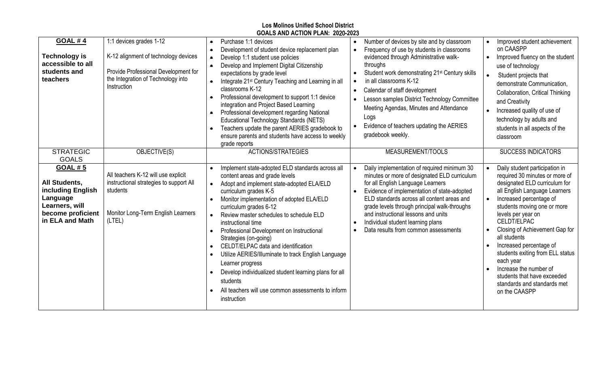| <b>Los Molinos Unified School District</b><br>GOALS AND ACTION PLAN: 2020-2023                                                    |                                                                                                                                                              |                                                                                                                                                                                                                                                                                                                                                                                                                                                                                                                                                                                                                                                             |                                                                                                                                                                                                                                                                                                                                                                                                                                             |                                                                                                                                                                                                                                                                                                                                                                                                                                                                                                    |  |
|-----------------------------------------------------------------------------------------------------------------------------------|--------------------------------------------------------------------------------------------------------------------------------------------------------------|-------------------------------------------------------------------------------------------------------------------------------------------------------------------------------------------------------------------------------------------------------------------------------------------------------------------------------------------------------------------------------------------------------------------------------------------------------------------------------------------------------------------------------------------------------------------------------------------------------------------------------------------------------------|---------------------------------------------------------------------------------------------------------------------------------------------------------------------------------------------------------------------------------------------------------------------------------------------------------------------------------------------------------------------------------------------------------------------------------------------|----------------------------------------------------------------------------------------------------------------------------------------------------------------------------------------------------------------------------------------------------------------------------------------------------------------------------------------------------------------------------------------------------------------------------------------------------------------------------------------------------|--|
| <b>GOAL #4</b><br><b>Technology is</b><br>accessible to all<br>students and<br>teachers                                           | 1:1 devices grades 1-12<br>K-12 alignment of technology devices<br>Provide Professional Development for<br>the Integration of Technology into<br>Instruction | Purchase 1:1 devices<br>Development of student device replacement plan<br>$\bullet$<br>Develop 1:1 student use policies<br>Develop and Implement Digital Citizenship<br>$\bullet$<br>expectations by grade level<br>Integrate 21 <sup>st</sup> Century Teaching and Learning in all<br>$\bullet$<br>classrooms K-12<br>Professional development to support 1:1 device<br>$\bullet$<br>integration and Project Based Learning<br>Professional development regarding National<br>Educational Technology Standards (NETS)<br>Teachers update the parent AERIES gradebook to<br>$\bullet$<br>ensure parents and students have access to weekly<br>grade reports | Number of devices by site and by classroom<br>Frequency of use by students in classrooms<br>evidenced through Administrative walk-<br>throughs<br>Student work demonstrating 21 <sup>st</sup> Century skills<br>in all classrooms K-12<br>Calendar of staff development<br>Lesson samples District Technology Committee<br>Meeting Agendas, Minutes and Attendance<br>Logs<br>Evidence of teachers updating the AERIES<br>gradebook weekly. | Improved student achievement<br>on CAASPP<br>Improved fluency on the student<br>$\bullet$<br>use of technology<br>$\bullet$<br>Student projects that<br>demonstrate Communication.<br>Collaboration, Critical Thinking<br>and Creativity<br>Increased quality of use of<br>technology by adults and<br>students in all aspects of the<br>classroom                                                                                                                                                 |  |
| <b>STRATEGIC</b><br><b>GOALS</b>                                                                                                  | OBJECTIVE(S)                                                                                                                                                 | ACTIONS/STRATEGIES                                                                                                                                                                                                                                                                                                                                                                                                                                                                                                                                                                                                                                          | MEASUREMENT/TOOLS                                                                                                                                                                                                                                                                                                                                                                                                                           | <b>SUCCESS INDICATORS</b>                                                                                                                                                                                                                                                                                                                                                                                                                                                                          |  |
| <b>GOAL #5</b><br><b>All Students,</b><br>including English<br>Language<br>Learners, will<br>become proficient<br>in ELA and Math | All teachers K-12 will use explicit<br>instructional strategies to support All<br>students<br>Monitor Long-Term English Learners<br>(LTEL)                   | Implement state-adopted ELD standards across all<br>content areas and grade levels<br>Adopt and implement state-adopted ELA/ELD<br>curriculum grades K-5<br>Monitor implementation of adopted ELA/ELD<br>curriculum grades 6-12<br>Review master schedules to schedule ELD<br>instructional time<br>Professional Development on Instructional<br>Strategies (on-going)<br>CELDT/ELPAC data and identification<br>Utilize AERIES/Illuminate to track English Language<br>Learner progress<br>Develop individualized student learning plans for all<br>students<br>All teachers will use common assessments to inform<br>instruction                          | Daily implementation of required minimum 30<br>minutes or more of designated ELD curriculum<br>for all English Language Learners<br>Evidence of implementation of state-adopted<br>ELD standards across all content areas and<br>grade levels through principal walk-throughs<br>and instructional lessons and units<br>Individual student learning plans<br>Data results from common assessments                                           | Daily student participation in<br>$\bullet$<br>required 30 minutes or more of<br>designated ELD curriculum for<br>all English Language Learners<br>Increased percentage of<br>$\bullet$<br>students moving one or more<br>levels per year on<br>CELDT/ELPAC<br>Closing of Achievement Gap for<br>all students<br>Increased percentage of<br>students exiting from ELL status<br>each year<br>Increase the number of<br>students that have exceeded<br>standards and standards met<br>on the CAASPP |  |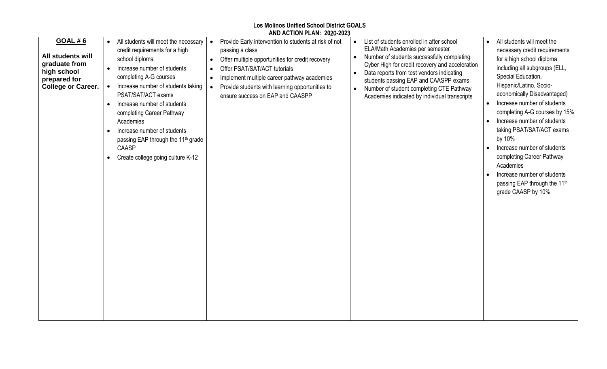|                                                                                                                  |                                                                                                                                                                                                                                                                                                                                                                                                                                                                                        | AND ACTION PLAN: 2020-2023                                                                                                                                                                                                                                                                                                   |                                                                                                                                                                                                                                                                                                                                                                               |                                                                                                                                                                                                                                                                                                                                                                                                                                                                                                                                                                               |
|------------------------------------------------------------------------------------------------------------------|----------------------------------------------------------------------------------------------------------------------------------------------------------------------------------------------------------------------------------------------------------------------------------------------------------------------------------------------------------------------------------------------------------------------------------------------------------------------------------------|------------------------------------------------------------------------------------------------------------------------------------------------------------------------------------------------------------------------------------------------------------------------------------------------------------------------------|-------------------------------------------------------------------------------------------------------------------------------------------------------------------------------------------------------------------------------------------------------------------------------------------------------------------------------------------------------------------------------|-------------------------------------------------------------------------------------------------------------------------------------------------------------------------------------------------------------------------------------------------------------------------------------------------------------------------------------------------------------------------------------------------------------------------------------------------------------------------------------------------------------------------------------------------------------------------------|
| <b>GOAL #6</b><br>All students will<br>graduate from<br>high school<br>prepared for<br><b>College or Career.</b> | All students will meet the necessary<br>$\bullet$<br>credit requirements for a high<br>school diploma<br>Increase number of students<br>$\bullet$<br>completing A-G courses<br>Increase number of students taking<br>PSAT/SAT/ACT exams<br>Increase number of students<br>$\bullet$<br>completing Career Pathway<br>Academies<br>Increase number of students<br>$\bullet$<br>passing EAP through the 11 <sup>th</sup> grade<br>CAASP<br>Create college going culture K-12<br>$\bullet$ | Provide Early intervention to students at risk of not<br>passing a class<br>Offer multiple opportunities for credit recovery<br>$\bullet$<br>Offer PSAT/SAT/ACT tutorials<br>Implement multiple career pathway academies<br>$\bullet$<br>Provide students with learning opportunities to<br>ensure success on EAP and CAASPP | List of students enrolled in after school<br>ELA/Math Academies per semester<br>Number of students successfully completing<br>$\bullet$<br>Cyber High for credit recovery and acceleration<br>Data reports from test vendors indicating<br>students passing EAP and CAASPP exams<br>Number of student completing CTE Pathway<br>Academies indicated by individual transcripts | All students will meet the<br>$\bullet$<br>necessary credit requirements<br>for a high school diploma<br>including all subgroups (ELL,<br>Special Education,<br>Hispanic/Latino, Socio-<br>economically Disadvantaged)<br>Increase number of students<br>$\bullet$<br>completing A-G courses by 15%<br>Increase number of students<br>$\bullet$<br>taking PSAT/SAT/ACT exams<br>by 10%<br>Increase number of students<br>$\bullet$<br>completing Career Pathway<br>Academies<br>Increase number of students<br>passing EAP through the 11 <sup>th</sup><br>grade CAASP by 10% |

**Los Molinos Unified School District GOALS**